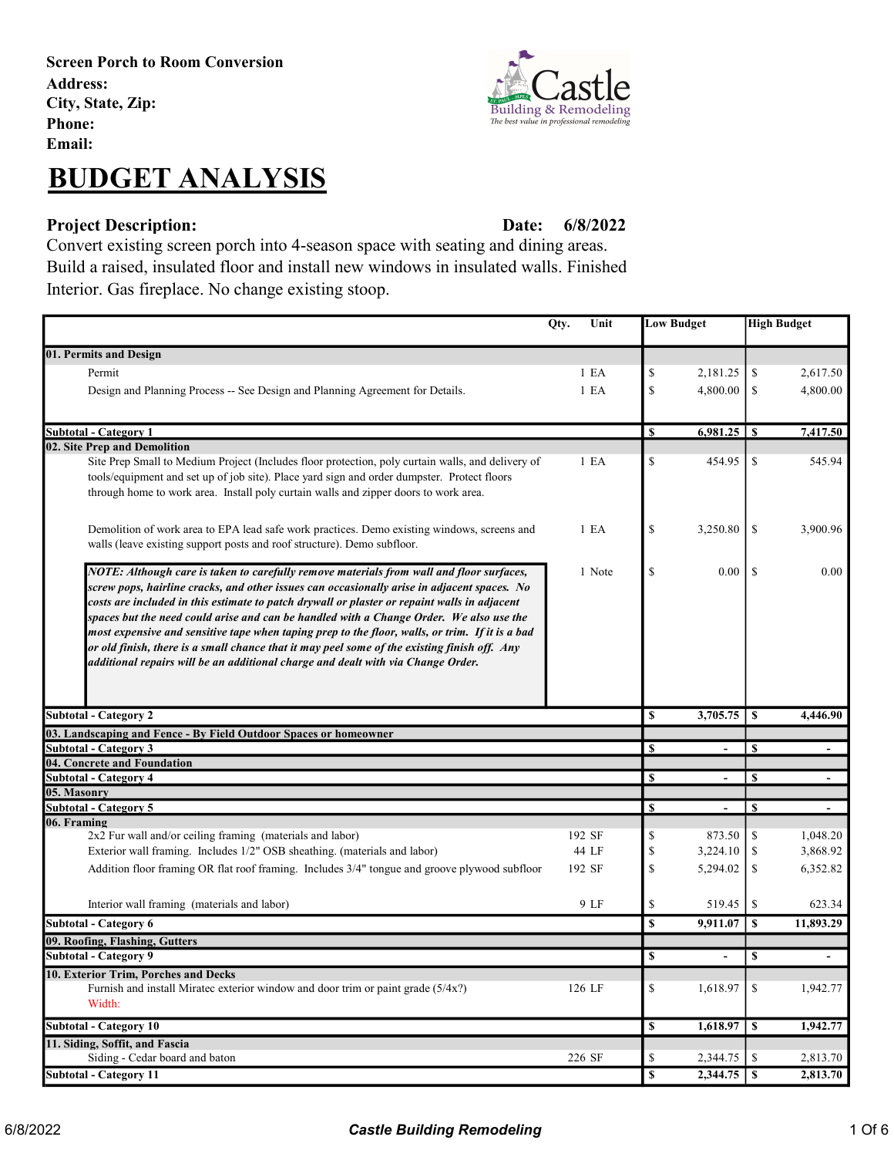# BUDGET ANALYSIS

### Project Description: Date:

6/8/2022

Convert existing screen porch into 4-season space with seating and dining areas. Build a raised, insulated floor and install new windows in insulated walls. Finished Interior. Gas fireplace. No change existing stoop.

|                                                                                                                                                                                                                                                                                                                                                                                                                                                                                                                                                                                                                                                                           | Qty.<br>Unit |                         | <b>Low Budget</b> | <b>High Budget</b>      |                          |
|---------------------------------------------------------------------------------------------------------------------------------------------------------------------------------------------------------------------------------------------------------------------------------------------------------------------------------------------------------------------------------------------------------------------------------------------------------------------------------------------------------------------------------------------------------------------------------------------------------------------------------------------------------------------------|--------------|-------------------------|-------------------|-------------------------|--------------------------|
| 01. Permits and Design                                                                                                                                                                                                                                                                                                                                                                                                                                                                                                                                                                                                                                                    |              |                         |                   |                         |                          |
| Permit                                                                                                                                                                                                                                                                                                                                                                                                                                                                                                                                                                                                                                                                    | 1 E A        | \$                      | 2,181.25          | \$                      | 2,617.50                 |
|                                                                                                                                                                                                                                                                                                                                                                                                                                                                                                                                                                                                                                                                           |              |                         | 4,800.00          |                         |                          |
| Design and Planning Process -- See Design and Planning Agreement for Details.                                                                                                                                                                                                                                                                                                                                                                                                                                                                                                                                                                                             | 1 E A        | \$                      |                   | \$                      | 4,800.00                 |
| Subtotal - Category 1                                                                                                                                                                                                                                                                                                                                                                                                                                                                                                                                                                                                                                                     |              | S                       |                   |                         | 7,417.50                 |
| 02. Site Prep and Demolition                                                                                                                                                                                                                                                                                                                                                                                                                                                                                                                                                                                                                                              |              |                         |                   |                         |                          |
| Site Prep Small to Medium Project (Includes floor protection, poly curtain walls, and delivery of<br>tools/equipment and set up of job site). Place yard sign and order dumpster. Protect floors<br>through home to work area. Install poly curtain walls and zipper doors to work area.                                                                                                                                                                                                                                                                                                                                                                                  | 1 E A        | \$                      | 454.95            | \$                      | 545.94                   |
| Demolition of work area to EPA lead safe work practices. Demo existing windows, screens and<br>walls (leave existing support posts and roof structure). Demo subfloor.                                                                                                                                                                                                                                                                                                                                                                                                                                                                                                    | 1 E A        | \$                      | 3,250.80          | <sup>\$</sup>           | 3,900.96                 |
| NOTE: Although care is taken to carefully remove materials from wall and floor surfaces,<br>screw pops, hairline cracks, and other issues can occasionally arise in adjacent spaces. No<br>costs are included in this estimate to patch drywall or plaster or repaint walls in adjacent<br>spaces but the need could arise and can be handled with a Change Order. We also use the<br>most expensive and sensitive tape when taping prep to the floor, walls, or trim. If it is a bad<br>or old finish, there is a small chance that it may peel some of the existing finish off. Any<br>additional repairs will be an additional charge and dealt with via Change Order. | 1 Note       | \$                      | 0.00              | -S                      | 0.00                     |
| <b>Subtotal - Category 2</b>                                                                                                                                                                                                                                                                                                                                                                                                                                                                                                                                                                                                                                              |              | \$                      | 3,705.75          | \$                      | 4,446.90                 |
| 03. Landscaping and Fence - By Field Outdoor Spaces or homeowner                                                                                                                                                                                                                                                                                                                                                                                                                                                                                                                                                                                                          |              |                         |                   |                         |                          |
| <b>Subtotal - Category 3</b>                                                                                                                                                                                                                                                                                                                                                                                                                                                                                                                                                                                                                                              |              | \$                      |                   | \$                      |                          |
| 04. Concrete and Foundation                                                                                                                                                                                                                                                                                                                                                                                                                                                                                                                                                                                                                                               |              |                         |                   |                         |                          |
| <b>Subtotal - Category 4</b>                                                                                                                                                                                                                                                                                                                                                                                                                                                                                                                                                                                                                                              |              | S                       |                   | S                       | $\overline{\phantom{a}}$ |
| 05. Masonry<br><b>Subtotal - Category 5</b>                                                                                                                                                                                                                                                                                                                                                                                                                                                                                                                                                                                                                               |              | <sup>\$</sup>           | $\blacksquare$    | \$                      | $\blacksquare$           |
| 06. Framing                                                                                                                                                                                                                                                                                                                                                                                                                                                                                                                                                                                                                                                               |              |                         |                   |                         |                          |
| 2x2 Fur wall and/or ceiling framing (materials and labor)                                                                                                                                                                                                                                                                                                                                                                                                                                                                                                                                                                                                                 | 192 SF       | \$                      | 873.50            | \$                      | 1,048.20                 |
| Exterior wall framing. Includes 1/2" OSB sheathing. (materials and labor)                                                                                                                                                                                                                                                                                                                                                                                                                                                                                                                                                                                                 | 44 LF        | \$                      | 3,224.10          | \$                      | 3,868.92                 |
| Addition floor framing OR flat roof framing. Includes 3/4" tongue and groove plywood subfloor                                                                                                                                                                                                                                                                                                                                                                                                                                                                                                                                                                             | 192 SF       | \$                      | 5,294.02          | \$                      | 6,352.82                 |
| Interior wall framing (materials and labor)                                                                                                                                                                                                                                                                                                                                                                                                                                                                                                                                                                                                                               | 9 LF         | \$                      | 519.45            | \$                      | 623.34                   |
| Subtotal - Category 6                                                                                                                                                                                                                                                                                                                                                                                                                                                                                                                                                                                                                                                     |              | \$                      | 9,911.07          | \$                      | 11,893.29                |
| 09. Roofing, Flashing, Gutters                                                                                                                                                                                                                                                                                                                                                                                                                                                                                                                                                                                                                                            |              |                         |                   |                         |                          |
| <b>Subtotal - Category 9</b>                                                                                                                                                                                                                                                                                                                                                                                                                                                                                                                                                                                                                                              |              | \$                      | $\blacksquare$    | \$                      |                          |
| 10. Exterior Trim, Porches and Decks                                                                                                                                                                                                                                                                                                                                                                                                                                                                                                                                                                                                                                      |              |                         |                   |                         |                          |
| Furnish and install Miratec exterior window and door trim or paint grade (5/4x?)<br>Width:                                                                                                                                                                                                                                                                                                                                                                                                                                                                                                                                                                                | 126 LF       | \$                      | 1,618.97          | \$                      | 1,942.77                 |
| <b>Subtotal - Category 10</b>                                                                                                                                                                                                                                                                                                                                                                                                                                                                                                                                                                                                                                             |              | $\boldsymbol{s}$        | 1,618.97          | $\overline{\mathbf{s}}$ | 1,942.77                 |
| 11. Siding, Soffit, and Fascia                                                                                                                                                                                                                                                                                                                                                                                                                                                                                                                                                                                                                                            |              |                         |                   |                         |                          |
| Siding - Cedar board and baton                                                                                                                                                                                                                                                                                                                                                                                                                                                                                                                                                                                                                                            | 226 SF       | \$                      | 2,344.75          | \$                      | 2,813.70                 |
| <b>Subtotal - Category 11</b>                                                                                                                                                                                                                                                                                                                                                                                                                                                                                                                                                                                                                                             |              | $\overline{\mathbb{S}}$ |                   |                         | 2,813.70                 |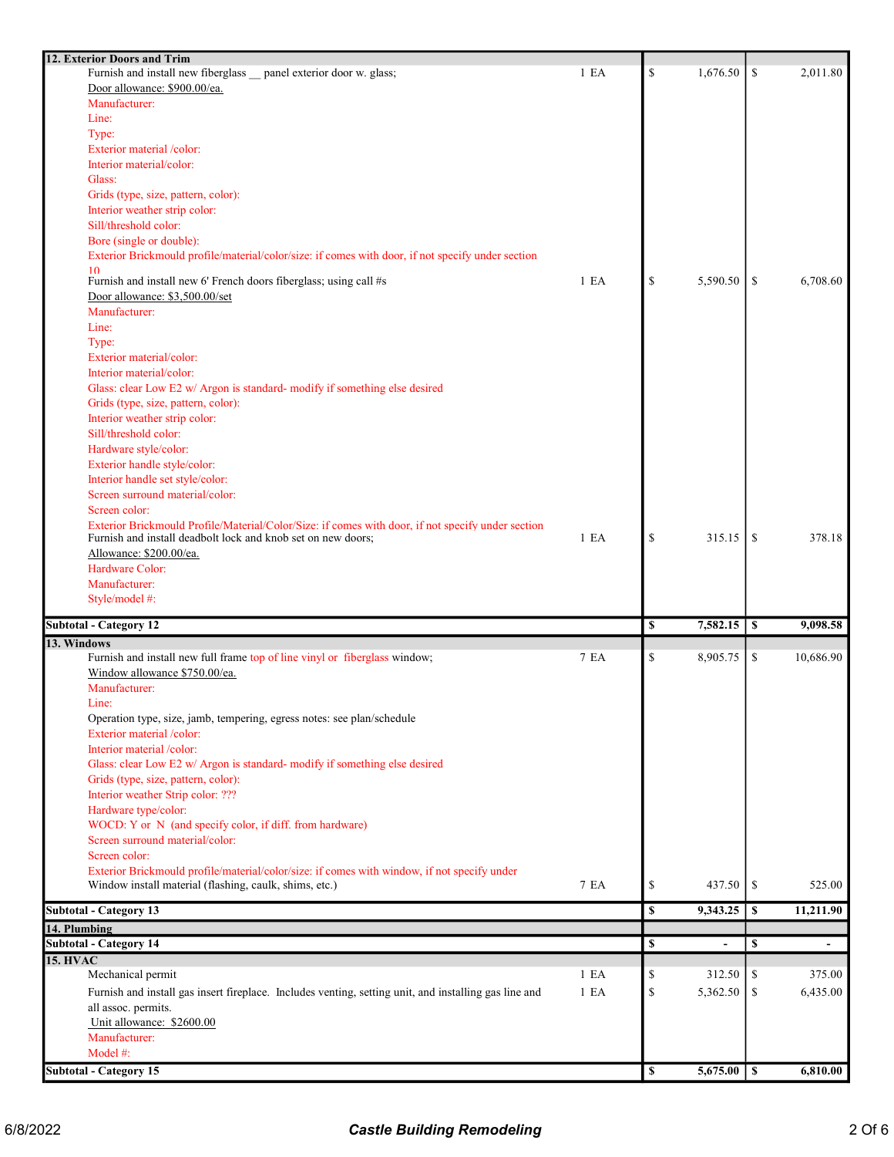| 12. Exterior Doors and Trim                                                                           |                  |                |    |           |
|-------------------------------------------------------------------------------------------------------|------------------|----------------|----|-----------|
| Furnish and install new fiberglass _panel exterior door w. glass;                                     | 1 E A            | \$<br>1,676.50 | \$ | 2,011.80  |
| Door allowance: \$900.00/ea.                                                                          |                  |                |    |           |
| Manufacturer:                                                                                         |                  |                |    |           |
| Line:                                                                                                 |                  |                |    |           |
| Type:                                                                                                 |                  |                |    |           |
| Exterior material /color:                                                                             |                  |                |    |           |
| Interior material/color:                                                                              |                  |                |    |           |
| Glass:                                                                                                |                  |                |    |           |
| Grids (type, size, pattern, color):                                                                   |                  |                |    |           |
| Interior weather strip color:                                                                         |                  |                |    |           |
| Sill/threshold color:                                                                                 |                  |                |    |           |
| Bore (single or double):                                                                              |                  |                |    |           |
| Exterior Brickmould profile/material/color/size: if comes with door, if not specify under section     |                  |                |    |           |
| 10                                                                                                    |                  |                |    |           |
| Furnish and install new 6' French doors fiberglass; using call #s                                     | 1 E <sub>A</sub> | \$<br>5,590.50 | \$ | 6,708.60  |
| Door allowance: \$3,500.00/set                                                                        |                  |                |    |           |
| Manufacturer:                                                                                         |                  |                |    |           |
| Line:                                                                                                 |                  |                |    |           |
| Type:                                                                                                 |                  |                |    |           |
| Exterior material/color:                                                                              |                  |                |    |           |
| Interior material/color:                                                                              |                  |                |    |           |
| Glass: clear Low E2 w/ Argon is standard- modify if something else desired                            |                  |                |    |           |
| Grids (type, size, pattern, color):                                                                   |                  |                |    |           |
| Interior weather strip color:                                                                         |                  |                |    |           |
| Sill/threshold color:                                                                                 |                  |                |    |           |
| Hardware style/color:                                                                                 |                  |                |    |           |
|                                                                                                       |                  |                |    |           |
| Exterior handle style/color:                                                                          |                  |                |    |           |
| Interior handle set style/color:                                                                      |                  |                |    |           |
| Screen surround material/color:                                                                       |                  |                |    |           |
| Screen color:                                                                                         |                  |                |    |           |
| Exterior Brickmould Profile/Material/Color/Size: if comes with door, if not specify under section     |                  |                |    |           |
| Furnish and install deadbolt lock and knob set on new doors;                                          | 1 E <sub>A</sub> | \$<br>315.15   | -S | 378.18    |
| Allowance: \$200.00/ea.                                                                               |                  |                |    |           |
|                                                                                                       |                  |                |    |           |
| Hardware Color:                                                                                       |                  |                |    |           |
| Manufacturer:                                                                                         |                  |                |    |           |
| Style/model #:                                                                                        |                  |                |    |           |
|                                                                                                       |                  |                |    |           |
| <b>Subtotal - Category 12</b>                                                                         |                  | \$<br>7,582.15 | \$ | 9,098.58  |
| 13. Windows                                                                                           |                  |                |    |           |
| Furnish and install new full frame top of line vinyl or fiberglass window;                            | 7 EA             | \$<br>8,905.75 | \$ | 10,686.90 |
| Window allowance \$750.00/ea.                                                                         |                  |                |    |           |
| Manufacturer:                                                                                         |                  |                |    |           |
| Line:                                                                                                 |                  |                |    |           |
| Operation type, size, jamb, tempering, egress notes: see plan/schedule                                |                  |                |    |           |
| Exterior material /color:                                                                             |                  |                |    |           |
| Interior material /color:                                                                             |                  |                |    |           |
| Glass: clear Low E2 w/ Argon is standard- modify if something else desired                            |                  |                |    |           |
| Grids (type, size, pattern, color):                                                                   |                  |                |    |           |
| Interior weather Strip color: ???                                                                     |                  |                |    |           |
| Hardware type/color:                                                                                  |                  |                |    |           |
| WOCD: Y or N (and specify color, if diff. from hardware)                                              |                  |                |    |           |
| Screen surround material/color:                                                                       |                  |                |    |           |
| Screen color:                                                                                         |                  |                |    |           |
| Exterior Brickmould profile/material/color/size: if comes with window, if not specify under           |                  |                |    |           |
| Window install material (flashing, caulk, shims, etc.)                                                | 7 EA             | \$<br>437.50   | \$ | 525.00    |
|                                                                                                       |                  |                |    |           |
| <b>Subtotal - Category 13</b>                                                                         |                  | \$<br>9,343.25 | \$ | 11,211.90 |
| 14. Plumbing                                                                                          |                  |                |    |           |
| <b>Subtotal - Category 14</b>                                                                         |                  | \$             | \$ |           |
| <b>15. HVAC</b>                                                                                       |                  |                |    |           |
| Mechanical permit                                                                                     | 1 E <sub>A</sub> | \$<br>312.50   | \$ | 375.00    |
| Furnish and install gas insert fireplace. Includes venting, setting unit, and installing gas line and | 1 E A            | \$<br>5,362.50 | \$ | 6,435.00  |
| all assoc. permits.                                                                                   |                  |                |    |           |
| Unit allowance: \$2600.00                                                                             |                  |                |    |           |
| Manufacturer:                                                                                         |                  |                |    |           |
| Model #:                                                                                              |                  |                |    |           |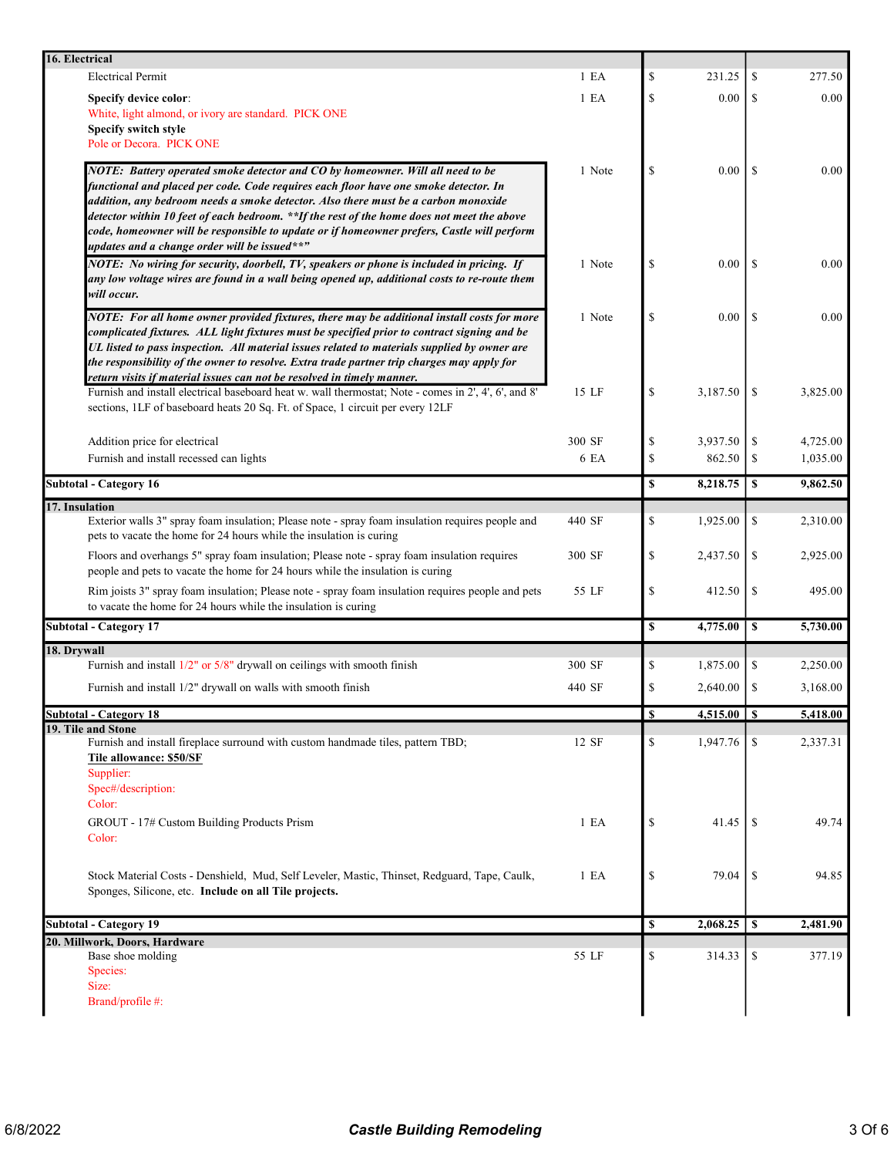| 16. Electrical                                                                                                                                                                            |        |              |                 |                  |          |
|-------------------------------------------------------------------------------------------------------------------------------------------------------------------------------------------|--------|--------------|-----------------|------------------|----------|
| <b>Electrical Permit</b>                                                                                                                                                                  | 1 E A  | \$           | 231.25          | \$               | 277.50   |
| <b>Specify device color:</b>                                                                                                                                                              | 1 E A  | \$           | 0.00            | <sup>\$</sup>    | 0.00     |
| White, light almond, or ivory are standard. PICK ONE                                                                                                                                      |        |              |                 |                  |          |
| Specify switch style<br>Pole or Decora. PICK ONE                                                                                                                                          |        |              |                 |                  |          |
|                                                                                                                                                                                           |        |              |                 |                  |          |
| NOTE: Battery operated smoke detector and CO by homeowner. Will all need to be                                                                                                            | 1 Note | \$           | 0.00            | <sup>\$</sup>    | 0.00     |
| functional and placed per code. Code requires each floor have one smoke detector. In<br>addition, any bedroom needs a smoke detector. Also there must be a carbon monoxide                |        |              |                 |                  |          |
| detector within 10 feet of each bedroom. **If the rest of the home does not meet the above                                                                                                |        |              |                 |                  |          |
| code, homeowner will be responsible to update or if homeowner prefers, Castle will perform                                                                                                |        |              |                 |                  |          |
| updates and a change order will be issued**"                                                                                                                                              |        |              |                 |                  |          |
| NOTE: No wiring for security, doorbell, TV, speakers or phone is included in pricing. If                                                                                                  | 1 Note | \$           | 0.00            | <sup>\$</sup>    | 0.00     |
| any low voltage wires are found in a wall being opened up, additional costs to re-route them<br>will occur.                                                                               |        |              |                 |                  |          |
|                                                                                                                                                                                           |        |              |                 |                  |          |
| NOTE: For all home owner provided fixtures, there may be additional install costs for more<br>complicated fixtures. ALL light fixtures must be specified prior to contract signing and be | 1 Note | \$           | 0.00            | \$.              | 0.00     |
| UL listed to pass inspection. All material issues related to materials supplied by owner are                                                                                              |        |              |                 |                  |          |
| the responsibility of the owner to resolve. Extra trade partner trip charges may apply for                                                                                                |        |              |                 |                  |          |
| return visits if material issues can not be resolved in timely manner.                                                                                                                    |        |              |                 |                  |          |
| Furnish and install electrical baseboard heat w. wall thermostat; Note - comes in 2', 4', 6', and 8'                                                                                      | 15 LF  | \$           | 3,187.50        | \$               | 3,825.00 |
| sections, 1LF of baseboard heats 20 Sq. Ft. of Space, 1 circuit per every 12LF                                                                                                            |        |              |                 |                  |          |
| Addition price for electrical                                                                                                                                                             | 300 SF | \$           | 3,937.50        | \$               | 4,725.00 |
| Furnish and install recessed can lights                                                                                                                                                   | 6 EA   | \$           | 862.50          | \$               | 1,035.00 |
|                                                                                                                                                                                           |        |              |                 |                  |          |
| <b>Subtotal - Category 16</b>                                                                                                                                                             |        | $\mathbf S$  | 8,218.75        | \$               | 9,862.50 |
| 17. Insulation                                                                                                                                                                            |        |              |                 |                  |          |
| Exterior walls 3" spray foam insulation; Please note - spray foam insulation requires people and<br>pets to vacate the home for 24 hours while the insulation is curing                   | 440 SF | \$           | 1,925.00        | \$               | 2,310.00 |
| Floors and overhangs 5" spray foam insulation; Please note - spray foam insulation requires                                                                                               | 300 SF | \$           | 2,437.50        | \$               | 2,925.00 |
| people and pets to vacate the home for 24 hours while the insulation is curing                                                                                                            |        |              |                 |                  |          |
| Rim joists 3" spray foam insulation; Please note - spray foam insulation requires people and pets                                                                                         | 55 LF  | \$           | 412.50          | \$               | 495.00   |
| to vacate the home for 24 hours while the insulation is curing                                                                                                                            |        |              |                 |                  |          |
| <b>Subtotal - Category 17</b>                                                                                                                                                             |        | $\mathbf S$  | 4,775.00        | $\boldsymbol{s}$ | 5,730.00 |
| 18. Drywall                                                                                                                                                                               |        |              |                 |                  |          |
| Furnish and install $1/2$ " or $5/8$ " drywall on ceilings with smooth finish                                                                                                             | 300 SF | \$           | 1,875.00        | \$               | 2,250.00 |
| Furnish and install 1/2" drywall on walls with smooth finish                                                                                                                              | 440 SF | \$           | 2,640.00        | \$               | 3,168.00 |
|                                                                                                                                                                                           |        |              |                 |                  |          |
| <b>Subtotal - Category 18</b><br>19. Tile and Stone                                                                                                                                       |        | $\mathbf{s}$ | $4,515.00$   \$ |                  | 5,418.00 |
| Furnish and install fireplace surround with custom handmade tiles, pattern TBD;                                                                                                           | 12 SF  | \$           | 1,947.76        | <sup>\$</sup>    | 2,337.31 |
| Tile allowance: \$50/SF                                                                                                                                                                   |        |              |                 |                  |          |
| Supplier:                                                                                                                                                                                 |        |              |                 |                  |          |
| Spec#/description:                                                                                                                                                                        |        |              |                 |                  |          |
| Color:                                                                                                                                                                                    |        |              |                 |                  |          |
| GROUT - 17# Custom Building Products Prism<br>Color:                                                                                                                                      | 1 E A  | \$           | 41.45           | -S               | 49.74    |
|                                                                                                                                                                                           |        |              |                 |                  |          |
|                                                                                                                                                                                           |        |              |                 |                  |          |
| Stock Material Costs - Denshield, Mud, Self Leveler, Mastic, Thinset, Redguard, Tape, Caulk,<br>Sponges, Silicone, etc. Include on all Tile projects.                                     | 1 E A  | \$           | 79.04           | \$               | 94.85    |
|                                                                                                                                                                                           |        |              |                 |                  |          |
| <b>Subtotal - Category 19</b>                                                                                                                                                             |        | \$           | 2,068.25        | \$               | 2,481.90 |
| 20. Millwork, Doors, Hardware                                                                                                                                                             |        |              |                 |                  |          |
| Base shoe molding                                                                                                                                                                         | 55 LF  | \$           | 314.33          | \$               | 377.19   |
| Species:                                                                                                                                                                                  |        |              |                 |                  |          |
| Size:<br>Brand/profile #:                                                                                                                                                                 |        |              |                 |                  |          |
|                                                                                                                                                                                           |        |              |                 |                  |          |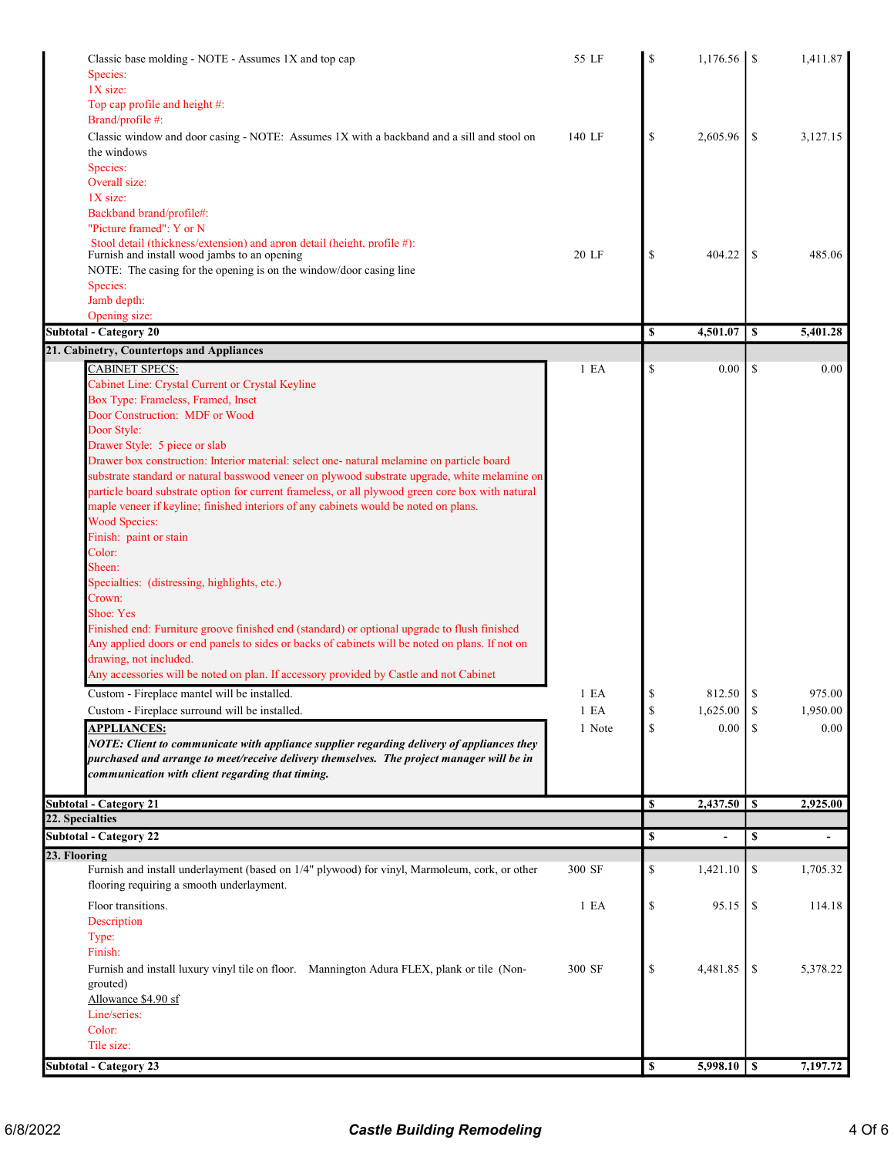| Classic base molding - NOTE - Assumes 1X and top cap<br>Species:<br>$1X$ size:                                                                                                                                                                                                                                                                                                                                                                                                                                                                                                                                                                                                                                                                                                                                                                                                                                                                                                                                                                                                                                                                                                                                                                                                                                                                                                                                                          | 55 LF                                    | S                    |                                    |                      | 1,411.87                           |
|-----------------------------------------------------------------------------------------------------------------------------------------------------------------------------------------------------------------------------------------------------------------------------------------------------------------------------------------------------------------------------------------------------------------------------------------------------------------------------------------------------------------------------------------------------------------------------------------------------------------------------------------------------------------------------------------------------------------------------------------------------------------------------------------------------------------------------------------------------------------------------------------------------------------------------------------------------------------------------------------------------------------------------------------------------------------------------------------------------------------------------------------------------------------------------------------------------------------------------------------------------------------------------------------------------------------------------------------------------------------------------------------------------------------------------------------|------------------------------------------|----------------------|------------------------------------|----------------------|------------------------------------|
| Top cap profile and height #:<br>Brand/profile #:<br>Classic window and door casing - NOTE: Assumes 1X with a backband and a sill and stool on<br>the windows<br>Species:                                                                                                                                                                                                                                                                                                                                                                                                                                                                                                                                                                                                                                                                                                                                                                                                                                                                                                                                                                                                                                                                                                                                                                                                                                                               | 140 LF                                   | \$                   | 2,605.96                           | \$                   | 3,127.15                           |
| Overall size:<br>1X size:<br>Backband brand/profile#:<br>"Picture framed": Y or N                                                                                                                                                                                                                                                                                                                                                                                                                                                                                                                                                                                                                                                                                                                                                                                                                                                                                                                                                                                                                                                                                                                                                                                                                                                                                                                                                       |                                          |                      |                                    |                      |                                    |
| Stool detail (thickness/extension) and apron detail (height, profile #):<br>Furnish and install wood jambs to an opening<br>NOTE: The casing for the opening is on the window/door casing line<br>Species:<br>Jamb depth:                                                                                                                                                                                                                                                                                                                                                                                                                                                                                                                                                                                                                                                                                                                                                                                                                                                                                                                                                                                                                                                                                                                                                                                                               | 20 LF                                    | \$                   | 404.22                             | \$                   | 485.06                             |
| Opening size:                                                                                                                                                                                                                                                                                                                                                                                                                                                                                                                                                                                                                                                                                                                                                                                                                                                                                                                                                                                                                                                                                                                                                                                                                                                                                                                                                                                                                           |                                          |                      |                                    |                      |                                    |
| <b>Subtotal - Category 20</b>                                                                                                                                                                                                                                                                                                                                                                                                                                                                                                                                                                                                                                                                                                                                                                                                                                                                                                                                                                                                                                                                                                                                                                                                                                                                                                                                                                                                           |                                          | \$                   | 4,501.07                           | \$                   | 5,401.28                           |
| 21. Cabinetry, Countertops and Appliances                                                                                                                                                                                                                                                                                                                                                                                                                                                                                                                                                                                                                                                                                                                                                                                                                                                                                                                                                                                                                                                                                                                                                                                                                                                                                                                                                                                               |                                          |                      |                                    |                      |                                    |
| <b>CABINET SPECS:</b><br>Cabinet Line: Crystal Current or Crystal Keyline<br>Box Type: Frameless, Framed, Inset<br>Door Construction: MDF or Wood<br>Door Style:<br>Drawer Style: 5 piece or slab<br>Drawer box construction: Interior material: select one- natural melamine on particle board<br>substrate standard or natural basswood veneer on plywood substrate upgrade, white melamine on<br>particle board substrate option for current frameless, or all plywood green core box with natural<br>maple veneer if keyline; finished interiors of any cabinets would be noted on plans.<br><b>Wood Species:</b><br>Finish: paint or stain<br>Color:<br>Sheen:<br>Specialties: (distressing, highlights, etc.)<br>Crown:<br>Shoe: Yes<br>Finished end: Furniture groove finished end (standard) or optional upgrade to flush finished<br>Any applied doors or end panels to sides or backs of cabinets will be noted on plans. If not on<br>drawing, not included.<br>Any accessories will be noted on plan. If accessory provided by Castle and not Cabinet<br>Custom - Fireplace mantel will be installed.<br>Custom - Fireplace surround will be installed.<br><b>APPLIANCES:</b><br>NOTE: Client to communicate with appliance supplier regarding delivery of appliances they<br>purchased and arrange to meet/receive delivery themselves. The project manager will be in<br>communication with client regarding that timing. | 1 E A<br>1 E A<br>$1$ $\rm EA$<br>1 Note | \$<br>\$<br>\$<br>\$ | 0.00<br>812.50<br>1,625.00<br>0.00 | \$<br>-S<br>\$<br>\$ | 0.00<br>975.00<br>1,950.00<br>0.00 |
| <b>Subtotal - Category 21</b>                                                                                                                                                                                                                                                                                                                                                                                                                                                                                                                                                                                                                                                                                                                                                                                                                                                                                                                                                                                                                                                                                                                                                                                                                                                                                                                                                                                                           |                                          | <sup>\$</sup>        |                                    |                      | 2,925.00                           |
| 22. Specialties<br><b>Subtotal - Category 22</b>                                                                                                                                                                                                                                                                                                                                                                                                                                                                                                                                                                                                                                                                                                                                                                                                                                                                                                                                                                                                                                                                                                                                                                                                                                                                                                                                                                                        |                                          | \$                   | $\overline{a}$                     | \$                   | $\overline{\phantom{a}}$           |
| 23. Flooring                                                                                                                                                                                                                                                                                                                                                                                                                                                                                                                                                                                                                                                                                                                                                                                                                                                                                                                                                                                                                                                                                                                                                                                                                                                                                                                                                                                                                            |                                          |                      |                                    |                      |                                    |
| Furnish and install underlayment (based on 1/4" plywood) for vinyl, Marmoleum, cork, or other<br>flooring requiring a smooth underlayment.                                                                                                                                                                                                                                                                                                                                                                                                                                                                                                                                                                                                                                                                                                                                                                                                                                                                                                                                                                                                                                                                                                                                                                                                                                                                                              | 300 SF                                   | \$                   | 1,421.10                           | \$                   | 1,705.32                           |
| Floor transitions.<br>Description<br>Type:<br>Finish:                                                                                                                                                                                                                                                                                                                                                                                                                                                                                                                                                                                                                                                                                                                                                                                                                                                                                                                                                                                                                                                                                                                                                                                                                                                                                                                                                                                   | 1 E A                                    | \$                   | 95.15                              | \$                   | 114.18                             |
| Furnish and install luxury vinyl tile on floor. Mannington Adura FLEX, plank or tile (Non-<br>grouted)<br>Allowance \$4.90 sf<br>Line/series:<br>Color:<br>Tile size:                                                                                                                                                                                                                                                                                                                                                                                                                                                                                                                                                                                                                                                                                                                                                                                                                                                                                                                                                                                                                                                                                                                                                                                                                                                                   | 300 SF                                   | \$                   | 4,481.85                           | \$                   | 5,378.22                           |
| Subtotal - Category 23                                                                                                                                                                                                                                                                                                                                                                                                                                                                                                                                                                                                                                                                                                                                                                                                                                                                                                                                                                                                                                                                                                                                                                                                                                                                                                                                                                                                                  |                                          | \$                   |                                    |                      | 7,197.72                           |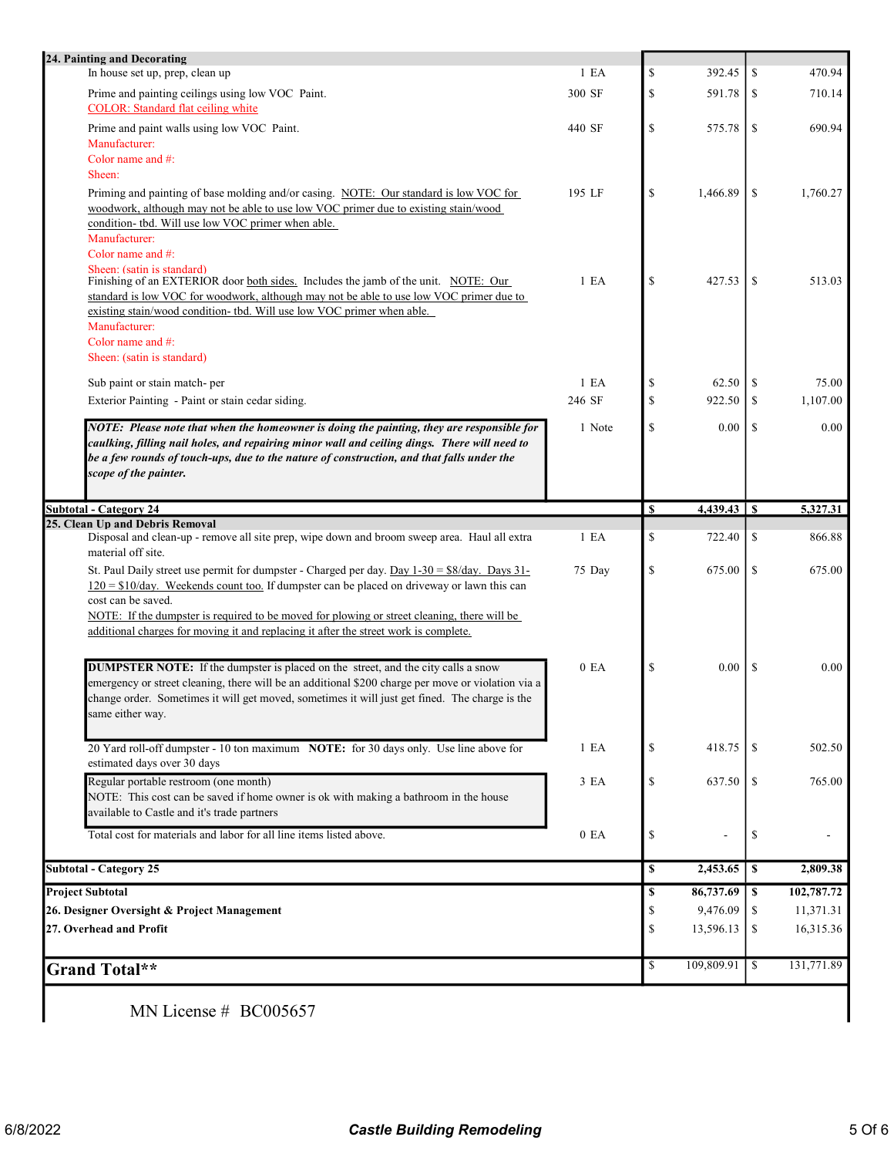| 24. Painting and Decorating                                                                                                                                                                                                                                                            |                  |                                             |           |               |                                                                      |
|----------------------------------------------------------------------------------------------------------------------------------------------------------------------------------------------------------------------------------------------------------------------------------------|------------------|---------------------------------------------|-----------|---------------|----------------------------------------------------------------------|
| In house set up, prep, clean up                                                                                                                                                                                                                                                        | 1 E <sub>A</sub> | $\mathbb{S}% _{n}^{X\rightarrow\mathbb{R}}$ | 392.45    | \$            | 470.94                                                               |
| Prime and painting ceilings using low VOC Paint.<br><b>COLOR:</b> Standard flat ceiling white                                                                                                                                                                                          | 300 SF           | \$                                          | 591.78    | -S            | 710.14                                                               |
| Prime and paint walls using low VOC Paint.<br>Manufacturer:<br>Color name and #:                                                                                                                                                                                                       | 440 SF           | $\mathbb S$                                 | 575.78    | \$            | 690.94                                                               |
| Sheen:                                                                                                                                                                                                                                                                                 |                  |                                             |           |               |                                                                      |
| Priming and painting of base molding and/or casing. NOTE: Our standard is low VOC for<br>woodwork, although may not be able to use low VOC primer due to existing stain/wood                                                                                                           | 195 LF           | \$                                          | 1,466.89  | \$            | 1,760.27                                                             |
| condition- tbd. Will use low VOC primer when able.                                                                                                                                                                                                                                     |                  |                                             |           |               |                                                                      |
| Manufacturer:<br>Color name and #:                                                                                                                                                                                                                                                     |                  |                                             |           |               |                                                                      |
| Sheen: (satin is standard)<br>Finishing of an EXTERIOR door both sides. Includes the jamb of the unit. NOTE: Our                                                                                                                                                                       | 1 E <sub>A</sub> | \$                                          | 427.53    | <sup>\$</sup> | 513.03                                                               |
| standard is low VOC for woodwork, although may not be able to use low VOC primer due to<br>existing stain/wood condition- tbd. Will use low VOC primer when able.                                                                                                                      |                  |                                             |           |               |                                                                      |
| Manufacturer:                                                                                                                                                                                                                                                                          |                  |                                             |           |               |                                                                      |
| Color name and #:<br>Sheen: (satin is standard)                                                                                                                                                                                                                                        |                  |                                             |           |               |                                                                      |
| Sub paint or stain match-per                                                                                                                                                                                                                                                           | 1 E <sub>A</sub> | $\mathbb S$                                 | 62.50     | -S            | 75.00                                                                |
| Exterior Painting - Paint or stain cedar siding.                                                                                                                                                                                                                                       | 246 SF           | $\mathbb S$                                 | 922.50    | \$            | 1,107.00                                                             |
|                                                                                                                                                                                                                                                                                        |                  |                                             |           |               |                                                                      |
| NOTE: Please note that when the homeowner is doing the painting, they are responsible for<br>caulking, filling nail holes, and repairing minor wall and ceiling dings. There will need to<br>be a few rounds of touch-ups, due to the nature of construction, and that falls under the | 1 Note           | \$                                          | 0.00      | \$            | 0.00                                                                 |
| scope of the painter.                                                                                                                                                                                                                                                                  |                  |                                             |           |               |                                                                      |
| <b>Subtotal - Category 24</b>                                                                                                                                                                                                                                                          |                  | \$                                          |           |               | 5,327.31                                                             |
| 25. Clean Up and Debris Removal                                                                                                                                                                                                                                                        |                  |                                             |           |               |                                                                      |
| Disposal and clean-up - remove all site prep, wipe down and broom sweep area. Haul all extra<br>material off site.                                                                                                                                                                     | 1 E A            | \$                                          | 722.40    | \$            | 866.88                                                               |
| St. Paul Daily street use permit for dumpster - Charged per day. Day $1-30 = $8/\text{day}$ . Days 31-<br>$120 = $10$ /day. Weekends count too. If dumpster can be placed on driveway or lawn this can                                                                                 | 75 Day           | \$                                          | 675.00    | \$            | 675.00                                                               |
| cost can be saved.<br>NOTE: If the dumpster is required to be moved for plowing or street cleaning, there will be                                                                                                                                                                      |                  |                                             |           |               |                                                                      |
| additional charges for moving it and replacing it after the street work is complete.                                                                                                                                                                                                   |                  |                                             |           |               |                                                                      |
|                                                                                                                                                                                                                                                                                        |                  |                                             |           |               | 0.00                                                                 |
| DUMPSTER NOTE: If the dumpster is placed on the street, and the city calls a snow                                                                                                                                                                                                      | 0 EA             | \$                                          | 0.00      | \$            |                                                                      |
| emergency or street cleaning, there will be an additional \$200 charge per move or violation via a                                                                                                                                                                                     |                  |                                             |           |               |                                                                      |
| change order. Sometimes it will get moved, sometimes it will just get fined. The charge is the<br>same either way.                                                                                                                                                                     |                  |                                             |           |               |                                                                      |
| 20 Yard roll-off dumpster - 10 ton maximum NOTE: for 30 days only. Use line above for<br>estimated days over 30 days                                                                                                                                                                   | 1 E A            | \$                                          | 418.75    | -S            |                                                                      |
| Regular portable restroom (one month)                                                                                                                                                                                                                                                  | 3 EA             | \$                                          | 637.50    | <sup>\$</sup> |                                                                      |
| NOTE: This cost can be saved if home owner is ok with making a bathroom in the house<br>available to Castle and it's trade partners                                                                                                                                                    |                  |                                             |           |               |                                                                      |
| Total cost for materials and labor for all line items listed above.                                                                                                                                                                                                                    | 0 E <sub>A</sub> | \$                                          |           | \$            |                                                                      |
| <b>Subtotal - Category 25</b>                                                                                                                                                                                                                                                          |                  | \$                                          | 2,453.65  | S             |                                                                      |
| <b>Project Subtotal</b>                                                                                                                                                                                                                                                                |                  | \$                                          | 86,737.69 | l s           |                                                                      |
| 26. Designer Oversight & Project Management                                                                                                                                                                                                                                            |                  | \$                                          | 9,476.09  | -S            |                                                                      |
| 27. Overhead and Profit                                                                                                                                                                                                                                                                |                  | \$                                          | 13,596.13 | -S            | 502.50<br>765.00<br>2,809.38<br>102,787.72<br>11,371.31<br>16,315.36 |